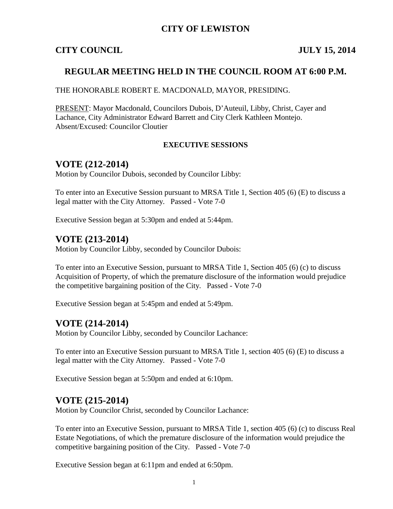## **CITY OF LEWISTON**

## **CITY COUNCIL JULY 15, 2014**

## **REGULAR MEETING HELD IN THE COUNCIL ROOM AT 6:00 P.M.**

### THE HONORABLE ROBERT E. MACDONALD, MAYOR, PRESIDING.

PRESENT: Mayor Macdonald, Councilors Dubois, D'Auteuil, Libby, Christ, Cayer and Lachance, City Administrator Edward Barrett and City Clerk Kathleen Montejo. Absent/Excused: Councilor Cloutier

### **EXECUTIVE SESSIONS**

## **VOTE (212-2014)**

Motion by Councilor Dubois, seconded by Councilor Libby:

To enter into an Executive Session pursuant to MRSA Title 1, Section 405 (6) (E) to discuss a legal matter with the City Attorney. Passed - Vote 7-0

Executive Session began at 5:30pm and ended at 5:44pm.

## **VOTE (213-2014)**

Motion by Councilor Libby, seconded by Councilor Dubois:

To enter into an Executive Session, pursuant to MRSA Title 1, Section 405 (6) (c) to discuss Acquisition of Property, of which the premature disclosure of the information would prejudice the competitive bargaining position of the City. Passed - Vote 7-0

Executive Session began at 5:45pm and ended at 5:49pm.

## **VOTE (214-2014)**

Motion by Councilor Libby, seconded by Councilor Lachance:

To enter into an Executive Session pursuant to MRSA Title 1, section 405 (6) (E) to discuss a legal matter with the City Attorney. Passed - Vote 7-0

Executive Session began at 5:50pm and ended at 6:10pm.

## **VOTE (215-2014)**

Motion by Councilor Christ, seconded by Councilor Lachance:

To enter into an Executive Session, pursuant to MRSA Title 1, section 405 (6) (c) to discuss Real Estate Negotiations, of which the premature disclosure of the information would prejudice the competitive bargaining position of the City. Passed - Vote 7-0

Executive Session began at 6:11pm and ended at 6:50pm.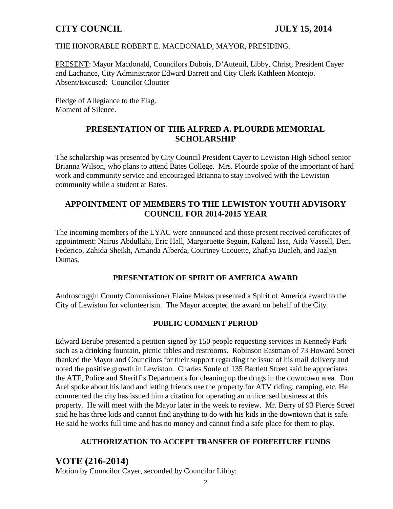## THE HONORABLE ROBERT E. MACDONALD, MAYOR, PRESIDING.

PRESENT: Mayor Macdonald, Councilors Dubois, D'Auteuil, Libby, Christ, President Cayer and Lachance, City Administrator Edward Barrett and City Clerk Kathleen Montejo. Absent/Excused: Councilor Cloutier

Pledge of Allegiance to the Flag. Moment of Silence.

## **PRESENTATION OF THE ALFRED A. PLOURDE MEMORIAL SCHOLARSHIP**

The scholarship was presented by City Council President Cayer to Lewiston High School senior Brianna Wilson, who plans to attend Bates College. Mrs. Plourde spoke of the important of hard work and community service and encouraged Brianna to stay involved with the Lewiston community while a student at Bates.

## **APPOINTMENT OF MEMBERS TO THE LEWISTON YOUTH ADVISORY COUNCIL FOR 2014-2015 YEAR**

The incoming members of the LYAC were announced and those present received certificates of appointment: Nairus Abdullahi, Eric Hall, Margaruette Seguin, Kalgaal Issa, Aida Vassell, Deni Federico, Zahida Sheikh, Amanda Alberda, Courtney Caouette, Zhafiya Dualeh, and Jazlyn Dumas.

## **PRESENTATION OF SPIRIT OF AMERICA AWARD**

Androscoggin County Commissioner Elaine Makas presented a Spirit of America award to the City of Lewiston for volunteerism. The Mayor accepted the award on behalf of the City.

## **PUBLIC COMMENT PERIOD**

Edward Berube presented a petition signed by 150 people requesting services in Kennedy Park such as a drinking fountain, picnic tables and restrooms. Robinson Eastman of 73 Howard Street thanked the Mayor and Councilors for their support regarding the issue of his mail delivery and noted the positive growth in Lewiston. Charles Soule of 135 Bartlett Street said he appreciates the ATF, Police and Sheriff's Departments for cleaning up the drugs in the downtown area. Don Arel spoke about his land and letting friends use the property for ATV riding, camping, etc. He commented the city has issued him a citation for operating an unlicensed business at this property. He will meet with the Mayor later in the week to review. Mr. Berry of 93 Pierce Street said he has three kids and cannot find anything to do with his kids in the downtown that is safe. He said he works full time and has no money and cannot find a safe place for them to play.

## **AUTHORIZATION TO ACCEPT TRANSFER OF FORFEITURE FUNDS**

# **VOTE (216-2014)**

Motion by Councilor Cayer, seconded by Councilor Libby: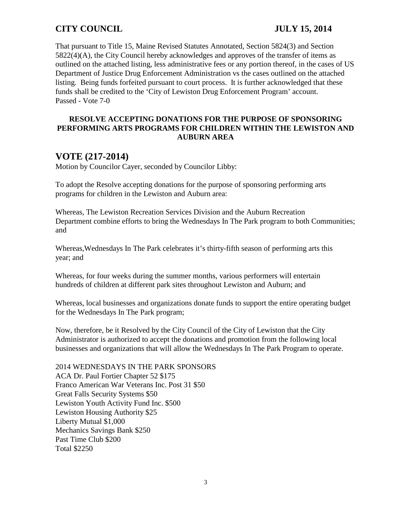That pursuant to Title 15, Maine Revised Statutes Annotated, Section 5824(3) and Section 5822(4)(A), the City Council hereby acknowledges and approves of the transfer of items as outlined on the attached listing, less administrative fees or any portion thereof, in the cases of US Department of Justice Drug Enforcement Administration vs the cases outlined on the attached listing. Being funds forfeited pursuant to court process. It is further acknowledged that these funds shall be credited to the 'City of Lewiston Drug Enforcement Program' account. Passed - Vote 7-0

## **RESOLVE ACCEPTING DONATIONS FOR THE PURPOSE OF SPONSORING PERFORMING ARTS PROGRAMS FOR CHILDREN WITHIN THE LEWISTON AND AUBURN AREA**

# **VOTE (217-2014)**

Motion by Councilor Cayer, seconded by Councilor Libby:

To adopt the Resolve accepting donations for the purpose of sponsoring performing arts programs for children in the Lewiston and Auburn area:

Whereas, The Lewiston Recreation Services Division and the Auburn Recreation Department combine efforts to bring the Wednesdays In The Park program to both Communities; and

Whereas,Wednesdays In The Park celebrates it's thirty-fifth season of performing arts this year; and

Whereas, for four weeks during the summer months, various performers will entertain hundreds of children at different park sites throughout Lewiston and Auburn; and

Whereas, local businesses and organizations donate funds to support the entire operating budget for the Wednesdays In The Park program;

Now, therefore, be it Resolved by the City Council of the City of Lewiston that the City Administrator is authorized to accept the donations and promotion from the following local businesses and organizations that will allow the Wednesdays In The Park Program to operate.

2014 WEDNESDAYS IN THE PARK SPONSORS ACA Dr. Paul Fortier Chapter 52 \$175 Franco American War Veterans Inc. Post 31 \$50 Great Falls Security Systems \$50 Lewiston Youth Activity Fund Inc. \$500 Lewiston Housing Authority \$25 Liberty Mutual \$1,000 Mechanics Savings Bank \$250 Past Time Club \$200 Total \$2250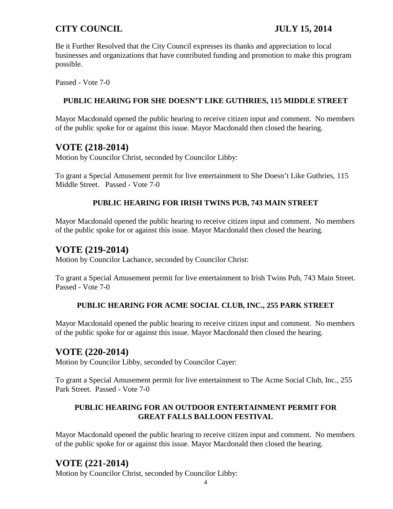Be it Further Resolved that the City Council expresses its thanks and appreciation to local businesses and organizations that have contributed funding and promotion to make this program possible.

Passed - Vote 7-0

## **PUBLIC HEARING FOR SHE DOESN'T LIKE GUTHRIES, 115 MIDDLE STREET**

Mayor Macdonald opened the public hearing to receive citizen input and comment. No members of the public spoke for or against this issue. Mayor Macdonald then closed the hearing.

# **VOTE (218-2014)**

Motion by Councilor Christ, seconded by Councilor Libby:

To grant a Special Amusement permit for live entertainment to She Doesn't Like Guthries, 115 Middle Street. Passed - Vote 7-0

## **PUBLIC HEARING FOR IRISH TWINS PUB, 743 MAIN STREET**

Mayor Macdonald opened the public hearing to receive citizen input and comment. No members of the public spoke for or against this issue. Mayor Macdonald then closed the hearing.

# **VOTE (219-2014)**

Motion by Councilor Lachance, seconded by Councilor Christ:

To grant a Special Amusement permit for live entertainment to Irish Twins Pub, 743 Main Street. Passed - Vote 7-0

## **PUBLIC HEARING FOR ACME SOCIAL CLUB, INC., 255 PARK STREET**

Mayor Macdonald opened the public hearing to receive citizen input and comment. No members of the public spoke for or against this issue. Mayor Macdonald then closed the hearing.

## **VOTE (220-2014)**

Motion by Councilor Libby, seconded by Councilor Cayer:

To grant a Special Amusement permit for live entertainment to The Acme Social Club, Inc., 255 Park Street. Passed - Vote 7-0

## **PUBLIC HEARING FOR AN OUTDOOR ENTERTAINMENT PERMIT FOR GREAT FALLS BALLOON FESTIVAL**

Mayor Macdonald opened the public hearing to receive citizen input and comment. No members of the public spoke for or against this issue. Mayor Macdonald then closed the hearing.

# **VOTE (221-2014)**

Motion by Councilor Christ, seconded by Councilor Libby: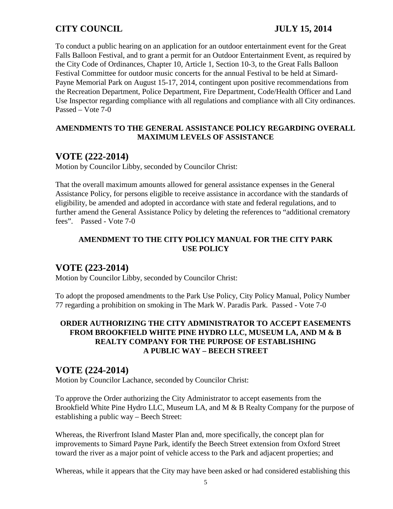To conduct a public hearing on an application for an outdoor entertainment event for the Great Falls Balloon Festival, and to grant a permit for an Outdoor Entertainment Event, as required by the City Code of Ordinances, Chapter 10, Article 1, Section 10-3, to the Great Falls Balloon Festival Committee for outdoor music concerts for the annual Festival to be held at Simard-Payne Memorial Park on August 15-17, 2014, contingent upon positive recommendations from the Recreation Department, Police Department, Fire Department, Code/Health Officer and Land Use Inspector regarding compliance with all regulations and compliance with all City ordinances. Passed – Vote 7-0

## **AMENDMENTS TO THE GENERAL ASSISTANCE POLICY REGARDING OVERALL MAXIMUM LEVELS OF ASSISTANCE**

# **VOTE (222-2014)**

Motion by Councilor Libby, seconded by Councilor Christ:

That the overall maximum amounts allowed for general assistance expenses in the General Assistance Policy, for persons eligible to receive assistance in accordance with the standards of eligibility, be amended and adopted in accordance with state and federal regulations, and to further amend the General Assistance Policy by deleting the references to "additional crematory fees". Passed - Vote 7-0

## **AMENDMENT TO THE CITY POLICY MANUAL FOR THE CITY PARK USE POLICY**

## **VOTE (223-2014)**

Motion by Councilor Libby, seconded by Councilor Christ:

To adopt the proposed amendments to the Park Use Policy, City Policy Manual, Policy Number 77 regarding a prohibition on smoking in The Mark W. Paradis Park. Passed - Vote 7-0

## **ORDER AUTHORIZING THE CITY ADMINISTRATOR TO ACCEPT EASEMENTS FROM BROOKFIELD WHITE PINE HYDRO LLC, MUSEUM LA, AND M & B REALTY COMPANY FOR THE PURPOSE OF ESTABLISHING A PUBLIC WAY – BEECH STREET**

## **VOTE (224-2014)**

Motion by Councilor Lachance, seconded by Councilor Christ:

To approve the Order authorizing the City Administrator to accept easements from the Brookfield White Pine Hydro LLC, Museum LA, and M & B Realty Company for the purpose of establishing a public way – Beech Street:

Whereas, the Riverfront Island Master Plan and, more specifically, the concept plan for improvements to Simard Payne Park, identify the Beech Street extension from Oxford Street toward the river as a major point of vehicle access to the Park and adjacent properties; and

Whereas, while it appears that the City may have been asked or had considered establishing this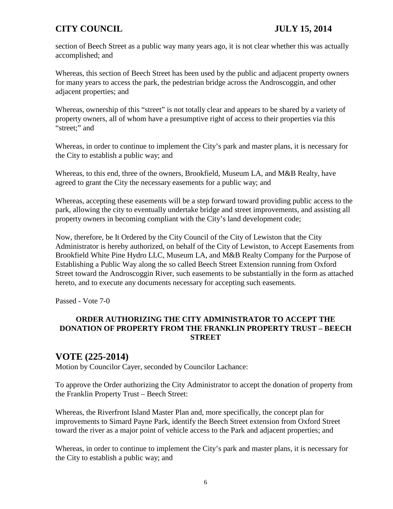section of Beech Street as a public way many years ago, it is not clear whether this was actually accomplished; and

Whereas, this section of Beech Street has been used by the public and adjacent property owners for many years to access the park, the pedestrian bridge across the Androscoggin, and other adjacent properties; and

Whereas, ownership of this "street" is not totally clear and appears to be shared by a variety of property owners, all of whom have a presumptive right of access to their properties via this "street;" and

Whereas, in order to continue to implement the City's park and master plans, it is necessary for the City to establish a public way; and

Whereas, to this end, three of the owners, Brookfield, Museum LA, and M&B Realty, have agreed to grant the City the necessary easements for a public way; and

Whereas, accepting these easements will be a step forward toward providing public access to the park, allowing the city to eventually undertake bridge and street improvements, and assisting all property owners in becoming compliant with the City's land development code;

Now, therefore, be It Ordered by the City Council of the City of Lewiston that the City Administrator is hereby authorized, on behalf of the City of Lewiston, to Accept Easements from Brookfield White Pine Hydro LLC, Museum LA, and M&B Realty Company for the Purpose of Establishing a Public Way along the so called Beech Street Extension running from Oxford Street toward the Androscoggin River, such easements to be substantially in the form as attached hereto, and to execute any documents necessary for accepting such easements.

Passed - Vote 7-0

## **ORDER AUTHORIZING THE CITY ADMINISTRATOR TO ACCEPT THE DONATION OF PROPERTY FROM THE FRANKLIN PROPERTY TRUST – BEECH STREET**

# **VOTE (225-2014)**

Motion by Councilor Cayer, seconded by Councilor Lachance:

To approve the Order authorizing the City Administrator to accept the donation of property from the Franklin Property Trust – Beech Street:

Whereas, the Riverfront Island Master Plan and, more specifically, the concept plan for improvements to Simard Payne Park, identify the Beech Street extension from Oxford Street toward the river as a major point of vehicle access to the Park and adjacent properties; and

Whereas, in order to continue to implement the City's park and master plans, it is necessary for the City to establish a public way; and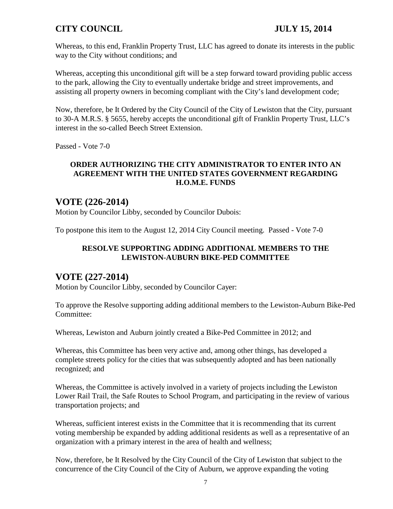Whereas, to this end, Franklin Property Trust, LLC has agreed to donate its interests in the public way to the City without conditions; and

Whereas, accepting this unconditional gift will be a step forward toward providing public access to the park, allowing the City to eventually undertake bridge and street improvements, and assisting all property owners in becoming compliant with the City's land development code;

Now, therefore, be It Ordered by the City Council of the City of Lewiston that the City, pursuant to 30-A M.R.S. § 5655, hereby accepts the unconditional gift of Franklin Property Trust, LLC's interest in the so-called Beech Street Extension.

Passed - Vote 7-0

## **ORDER AUTHORIZING THE CITY ADMINISTRATOR TO ENTER INTO AN AGREEMENT WITH THE UNITED STATES GOVERNMENT REGARDING H.O.M.E. FUNDS**

# **VOTE (226-2014)**

Motion by Councilor Libby, seconded by Councilor Dubois:

To postpone this item to the August 12, 2014 City Council meeting. Passed - Vote 7-0

## **RESOLVE SUPPORTING ADDING ADDITIONAL MEMBERS TO THE LEWISTON-AUBURN BIKE-PED COMMITTEE**

# **VOTE (227-2014)**

Motion by Councilor Libby, seconded by Councilor Cayer:

To approve the Resolve supporting adding additional members to the Lewiston-Auburn Bike-Ped Committee:

Whereas, Lewiston and Auburn jointly created a Bike-Ped Committee in 2012; and

Whereas, this Committee has been very active and, among other things, has developed a complete streets policy for the cities that was subsequently adopted and has been nationally recognized; and

Whereas, the Committee is actively involved in a variety of projects including the Lewiston Lower Rail Trail, the Safe Routes to School Program, and participating in the review of various transportation projects; and

Whereas, sufficient interest exists in the Committee that it is recommending that its current voting membership be expanded by adding additional residents as well as a representative of an organization with a primary interest in the area of health and wellness;

Now, therefore, be It Resolved by the City Council of the City of Lewiston that subject to the concurrence of the City Council of the City of Auburn, we approve expanding the voting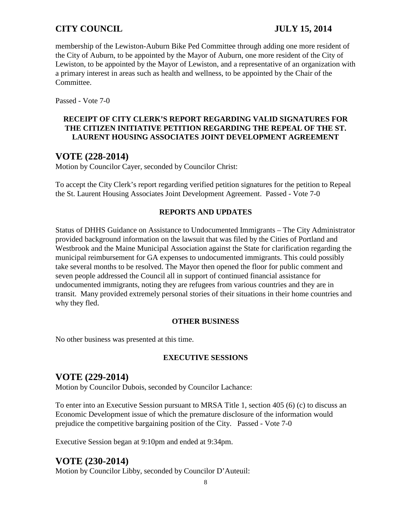membership of the Lewiston-Auburn Bike Ped Committee through adding one more resident of the City of Auburn, to be appointed by the Mayor of Auburn, one more resident of the City of Lewiston, to be appointed by the Mayor of Lewiston, and a representative of an organization with a primary interest in areas such as health and wellness, to be appointed by the Chair of the Committee.

Passed - Vote 7-0

## **RECEIPT OF CITY CLERK'S REPORT REGARDING VALID SIGNATURES FOR THE CITIZEN INITIATIVE PETITION REGARDING THE REPEAL OF THE ST. LAURENT HOUSING ASSOCIATES JOINT DEVELOPMENT AGREEMENT**

# **VOTE (228-2014)**

Motion by Councilor Cayer, seconded by Councilor Christ:

To accept the City Clerk's report regarding verified petition signatures for the petition to Repeal the St. Laurent Housing Associates Joint Development Agreement. Passed - Vote 7-0

## **REPORTS AND UPDATES**

Status of DHHS Guidance on Assistance to Undocumented Immigrants – The City Administrator provided background information on the lawsuit that was filed by the Cities of Portland and Westbrook and the Maine Municipal Association against the State for clarification regarding the municipal reimbursement for GA expenses to undocumented immigrants. This could possibly take several months to be resolved. The Mayor then opened the floor for public comment and seven people addressed the Council all in support of continued financial assistance for undocumented immigrants, noting they are refugees from various countries and they are in transit. Many provided extremely personal stories of their situations in their home countries and why they fled.

## **OTHER BUSINESS**

No other business was presented at this time.

## **EXECUTIVE SESSIONS**

# **VOTE (229-2014)**

Motion by Councilor Dubois, seconded by Councilor Lachance:

To enter into an Executive Session pursuant to MRSA Title 1, section 405 (6) (c) to discuss an Economic Development issue of which the premature disclosure of the information would prejudice the competitive bargaining position of the City. Passed - Vote 7-0

Executive Session began at 9:10pm and ended at 9:34pm.

# **VOTE (230-2014)**

Motion by Councilor Libby, seconded by Councilor D'Auteuil: